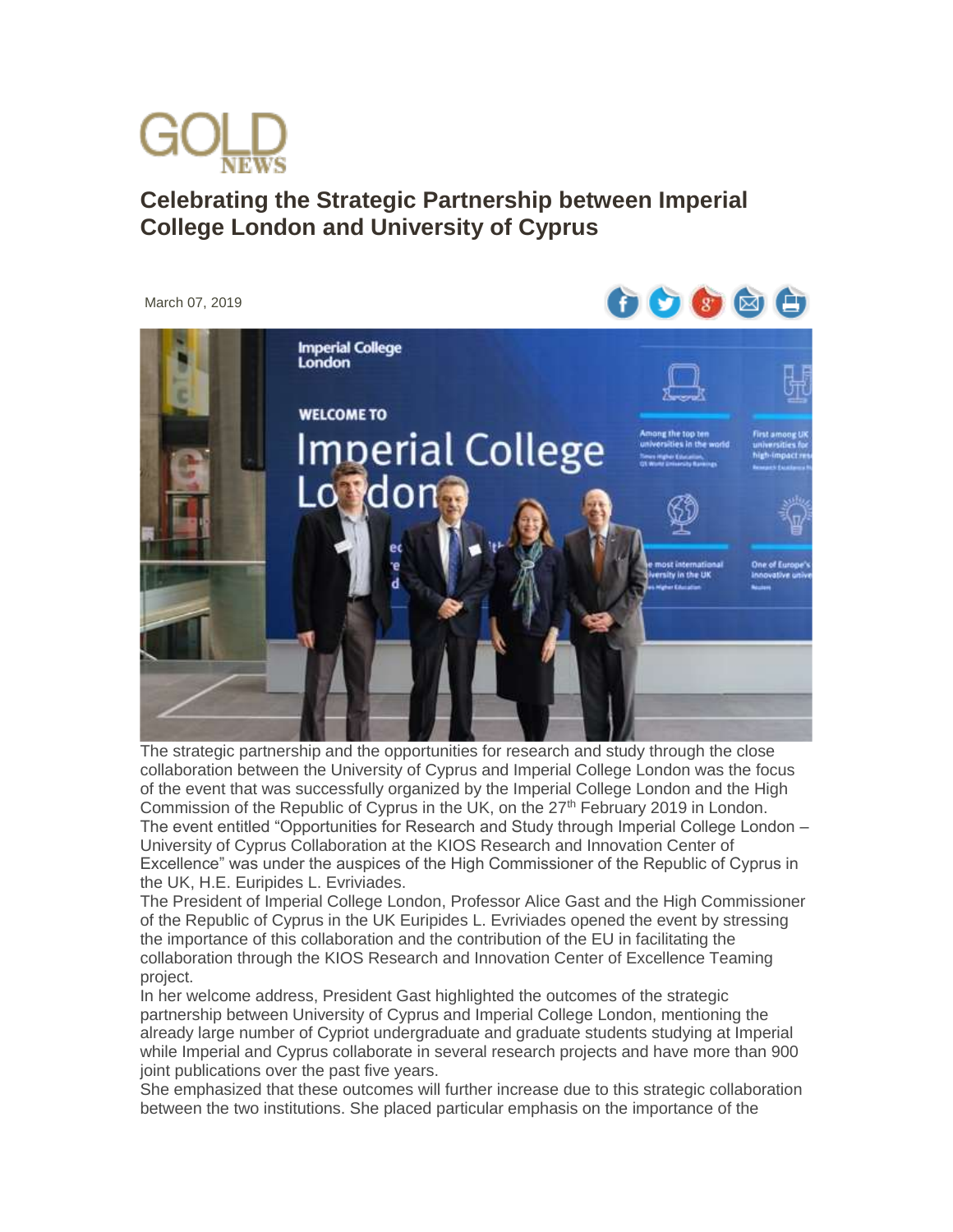

## **Celebrating the Strategic Partnership between Imperial College London and University of Cyprus**



The strategic partnership and the opportunities for research and study through the close collaboration between the University of Cyprus and Imperial College London was the focus of the event that was successfully organized by the Imperial College London and the High Commission of the Republic of Cyprus in the UK, on the  $27<sup>th</sup>$  February 2019 in London. The event entitled "Opportunities for Research and Study through Imperial College London – University of Cyprus Collaboration at the KIOS Research and Innovation Center of Excellence" was under the auspices of the High Commissioner of the Republic of Cyprus in the UK, H.E. Euripides L. Evriviades.

The President of Imperial College London, Professor Alice Gast and the High Commissioner of the Republic of Cyprus in the UK Euripides L. Evriviades opened the event by stressing the importance of this collaboration and the contribution of the EU in facilitating the collaboration through the KIOS Research and Innovation Center of Excellence Teaming project.

In her welcome address, President Gast highlighted the outcomes of the strategic partnership between University of Cyprus and Imperial College London, mentioning the already large number of Cypriot undergraduate and graduate students studying at Imperial while Imperial and Cyprus collaborate in several research projects and have more than 900 joint publications over the past five years.

She emphasized that these outcomes will further increase due to this strategic collaboration between the two institutions. She placed particular emphasis on the importance of the